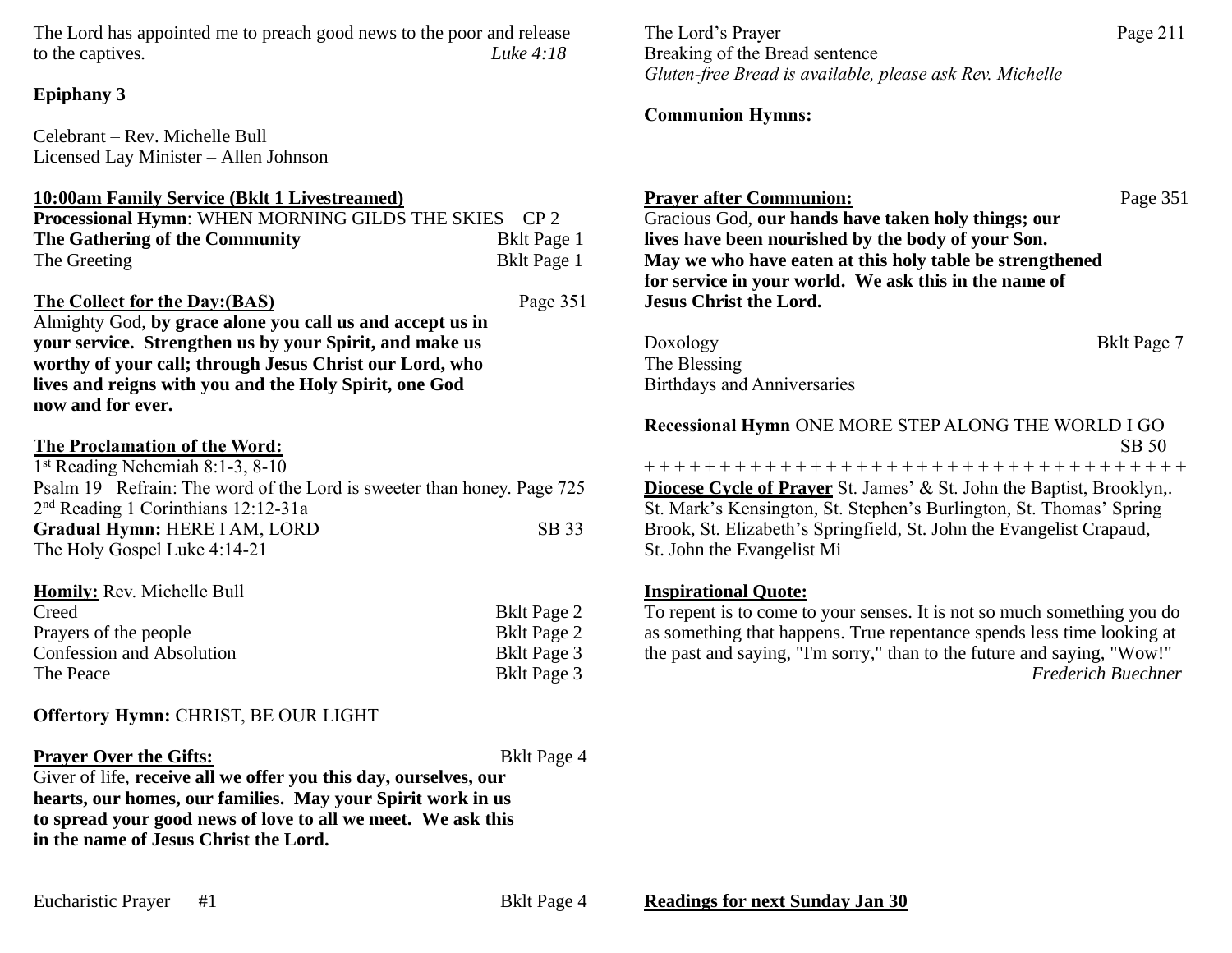The Lord has appointed me to preach good news to the poor and release to the captives*. Luke 4:18*

# **Epiphany 3**

Celebrant – Rev. Michelle Bull Licensed Lay Minister – Allen Johnson

### **10:00am Family Service (Bklt 1 Livestreamed)**

| <b>Processional Hymn: WHEN MORNING GILDS THE SKIES CP 2</b> |                    |
|-------------------------------------------------------------|--------------------|
| The Gathering of the Community                              | <b>Bklt Page 1</b> |
| The Greeting                                                | Bklt Page 1        |

### **The Collect for the Day:(BAS)** Page 351

Almighty God, **by grace alone you call us and accept us in your service. Strengthen us by your Spirit, and make us worthy of your call; through Jesus Christ our Lord, who lives and reigns with you and the Holy Spirit, one God now and for ever.**

# **The Proclamation of the Word:**

1 st Reading Nehemiah 8:1-3, 8-10 Psalm 19 Refrain: The word of the Lord is sweeter than honey. Page 725 2 nd Reading 1 Corinthians 12:12-31a Gradual Hymn: **HERE I AM, LORD** SB 33 The Holy Gospel Luke 4:14-21

**Homily:** Rev. Michelle Bull

| <b>Bklt Page 2</b> |
|--------------------|
| <b>Bklt Page 2</b> |
| Bklt Page 3        |
| Bklt Page 3        |
|                    |

**Offertory Hymn:** CHRIST, BE OUR LIGHT

**Prayer Over the Gifts:** Bklt Page 4

Giver of life, **receive all we offer you this day, ourselves, our hearts, our homes, our families. May your Spirit work in us to spread your good news of love to all we meet. We ask this in the name of Jesus Christ the Lord.**

The Lord's Prayer Page 211 Breaking of the Bread sentence *Gluten-free Bread is available, please ask Rev. Michelle*

# **Communion Hymns:**

| <b>Prayer after Communion:</b><br>Gracious God, our hands have taken holy things; our<br>lives have been nourished by the body of your Son.<br>May we who have eaten at this holy table be strengthened<br>for service in your world. We ask this in the name of<br><b>Jesus Christ the Lord.</b>                                                                  | Page 351           |
|--------------------------------------------------------------------------------------------------------------------------------------------------------------------------------------------------------------------------------------------------------------------------------------------------------------------------------------------------------------------|--------------------|
| Doxology<br>The Blessing<br><b>Birthdays and Anniversaries</b>                                                                                                                                                                                                                                                                                                     | <b>Bklt Page 7</b> |
| Recessional Hymn ONE MORE STEP ALONG THE WORLD I GO<br>SB 50<br>+++++++++++++++++++++++++++++++++++++<br><b>Diocese Cycle of Prayer</b> St. James' & St. John the Baptist, Brooklyn,.<br>St. Mark's Kensington, St. Stephen's Burlington, St. Thomas' Spring<br>Brook, St. Elizabeth's Springfield, St. John the Evangelist Crapaud,<br>St. John the Evangelist Mi |                    |

# **Inspirational Quote:**

To repent is to come to your senses. It is not so much something you do as something that happens. True repentance spends less time looking at the past and saying, "I'm sorry," than to the future and saying, "Wow!" *Frederich Buechner*